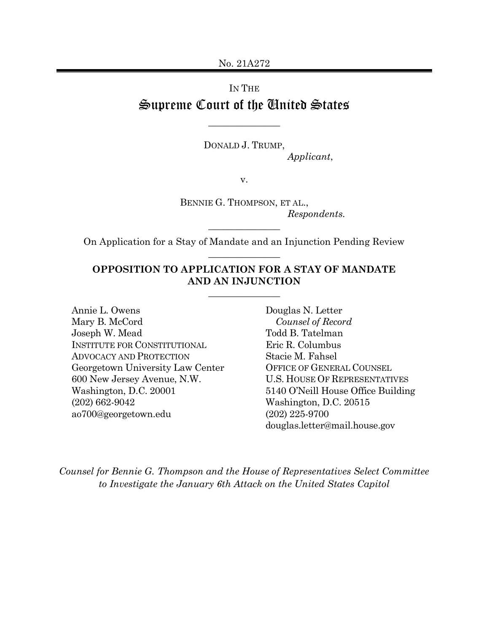No. 21A272

# Supreme Court of the United States IN THE

 $\overline{\phantom{a}}$  , where  $\overline{\phantom{a}}$ 

 DONALD J. TRUMP, Applicant,

v.

 BENNIE G. THOMPSON, ET AL., Respondents.

 On Application for a Stay of Mandate and an Injunction Pending Review  $\overline{\phantom{a}}$  , where  $\overline{\phantom{a}}$ 

 $\overline{\phantom{a}}$  , where  $\overline{\phantom{a}}$ 

#### OPPOSITION TO APPLICATION FOR A STAY OF MANDATE AND AN INJUNCTION

 $\overline{\phantom{a}}$  , where  $\overline{\phantom{a}}$ 

Annie L. Owens Mary B. McCord Joseph W. Mead Todd B. Tatelman INSTITUTE FOR CONSTITUTIONAL Eric R. Columbus ADVOCACY AND PROTECTION Stacie M. Fahsel Georgetown University Law Center OFFICE OF GENERAL COUNSEL 600 New Jersey Avenue, N.W. U.S. HOUSE OF REPRESENTATIVES Washington, D.C. 20001  $(202)$  662-9042 Annie L. Owens Douglas N. Letter Washington, D.C. 20001 5140 O'Neill House Office Building (202) 662-9042 Washington, D.C. 20515 [ao700@georgetown.edu](mailto:ao700@georgetown.edu)

Todd B. Tatelman Eric R. Columbus Stacie M. Fahsel **OFFICE OF GENERAL COUNSEL U.S. HOUSE OF REPRESENTATIVES**  $(202)$  225-9700 [douglas.letter@mail.house.gov](mailto:douglas.letter@mail.house.gov) Counsel of Record

 Counsel for Bennie G. Thompson and the House of Representatives Select Committee to Investigate the January 6th Attack on the United States Capitol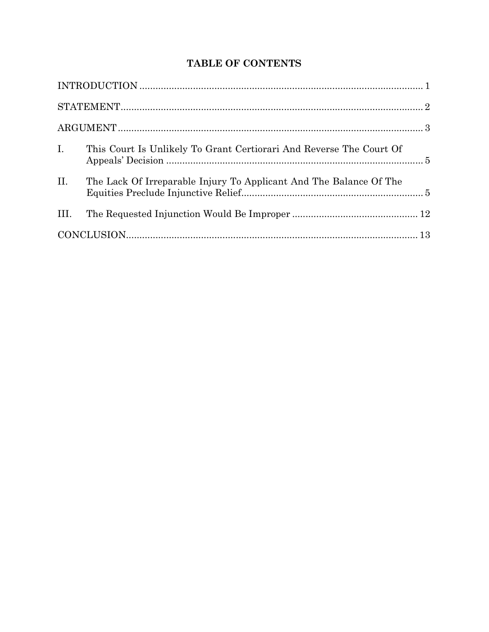## **TABLE OF CONTENTS**

| $\mathbf{I}$ . | This Court Is Unlikely To Grant Certiorari And Reverse The Court Of |  |
|----------------|---------------------------------------------------------------------|--|
| II.            | The Lack Of Irreparable Injury To Applicant And The Balance Of The  |  |
| III.           |                                                                     |  |
|                |                                                                     |  |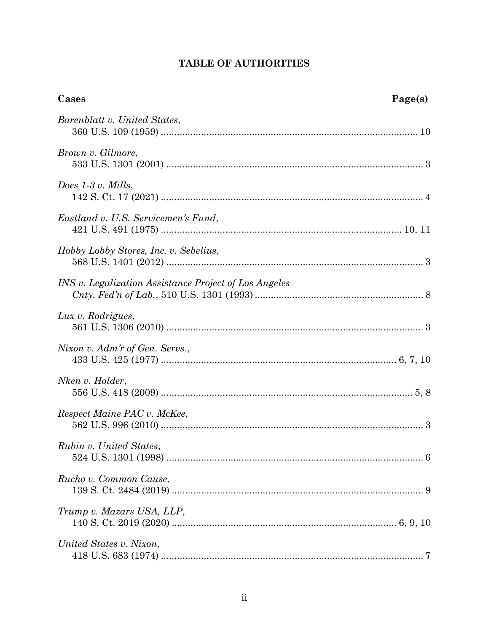## TABLE OF AUTHORITIES

| Cases                                                 | Page(s) |
|-------------------------------------------------------|---------|
| Barenblatt v. United States,                          |         |
| Brown v. Gilmore,                                     |         |
| Does $1-3$ v. Mills,                                  |         |
| Eastland v. U.S. Servicemen's Fund,                   |         |
| Hobby Lobby Stores, Inc. v. Sebelius,                 |         |
| INS v. Legalization Assistance Project of Los Angeles |         |
| Lux v. Rodrigues,                                     |         |
| Nixon v. Adm'r of Gen. Servs.,                        |         |
| Nken v. Holder,                                       |         |
| Respect Maine PAC v. McKee,                           |         |
| Rubin v. United States,                               |         |
| Rucho v. Common Cause,                                |         |
| Trump v. Mazars USA, LLP,                             |         |
| United States v. Nixon,                               |         |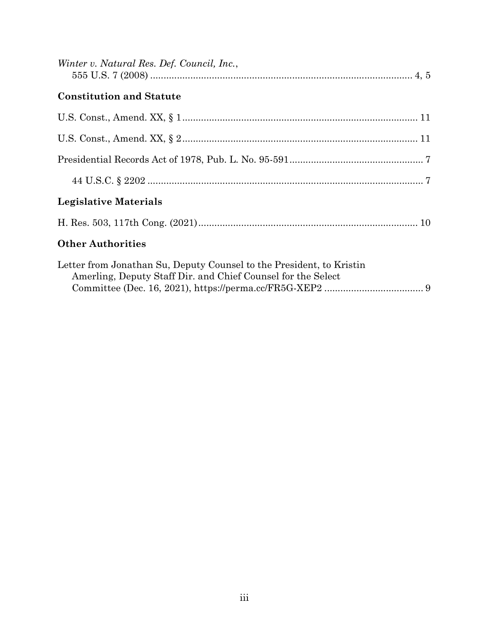| Winter v. Natural Res. Def. Council, Inc.,                                                                                           |  |
|--------------------------------------------------------------------------------------------------------------------------------------|--|
| <b>Constitution and Statute</b>                                                                                                      |  |
|                                                                                                                                      |  |
|                                                                                                                                      |  |
|                                                                                                                                      |  |
|                                                                                                                                      |  |
| <b>Legislative Materials</b>                                                                                                         |  |
|                                                                                                                                      |  |
| <b>Other Authorities</b>                                                                                                             |  |
| Letter from Jonathan Su, Deputy Counsel to the President, to Kristin<br>Amerling, Deputy Staff Dir. and Chief Counsel for the Select |  |

Committee (Dec. 16, 2021), <https://perma.cc/FR5G-XEP2> ..................................... 9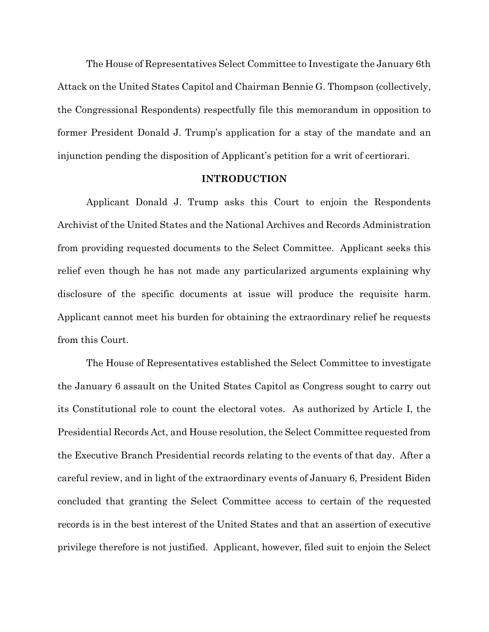The House of Representatives Select Committee to Investigate the January 6th Attack on the United States Capitol and Chairman Bennie G. Thompson (collectively, the Congressional Respondents) respectfully file this memorandum in opposition to former President Donald J. Trump's application for a stay of the mandate and an injunction pending the disposition of Applicant's petition for a writ of certiorari.

#### INTRODUCTION

 Applicant Donald J. Trump asks this Court to enjoin the Respondents Archivist of the United States and the National Archives and Records Administration from providing requested documents to the Select Committee. Applicant seeks this relief even though he has not made any particularized arguments explaining why disclosure of the specific documents at issue will produce the requisite harm. Applicant cannot meet his burden for obtaining the extraordinary relief he requests from this Court.

 The House of Representatives established the Select Committee to investigate the January 6 assault on the United States Capitol as Congress sought to carry out its Constitutional role to count the electoral votes. As authorized by Article I, the Presidential Records Act, and House resolution, the Select Committee requested from the Executive Branch Presidential records relating to the events of that day. After a careful review, and in light of the extraordinary events of January 6, President Biden concluded that granting the Select Committee access to certain of the requested records is in the best interest of the United States and that an assertion of executive privilege therefore is not justified. Applicant, however, filed suit to enjoin the Select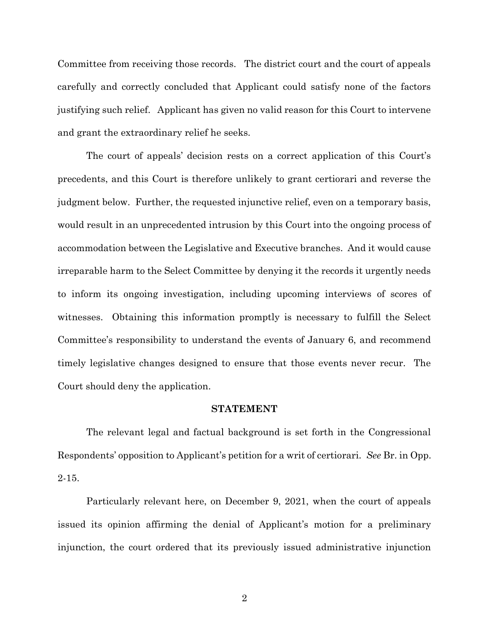<span id="page-5-0"></span> Committee from receiving those records. The district court and the court of appeals carefully and correctly concluded that Applicant could satisfy none of the factors justifying such relief. Applicant has given no valid reason for this Court to intervene and grant the extraordinary relief he seeks.

 The court of appeals' decision rests on a correct application of this Court's precedents, and this Court is therefore unlikely to grant certiorari and reverse the judgment below. Further, the requested injunctive relief, even on a temporary basis, would result in an unprecedented intrusion by this Court into the ongoing process of accommodation between the Legislative and Executive branches. And it would cause irreparable harm to the Select Committee by denying it the records it urgently needs to inform its ongoing investigation, including upcoming interviews of scores of witnesses. Obtaining this information promptly is necessary to fulfill the Select Committee's responsibility to understand the events of January 6, and recommend timely legislative changes designed to ensure that those events never recur. The Court should deny the application.

#### STATEMENT

 The relevant legal and factual background is set forth in the Congressional Respondents' opposition to Applicant's petition for a writ of certiorari. See Br. in Opp. 2-15.

 Particularly relevant here, on December 9, 2021, when the court of appeals issued its opinion affirming the denial of Applicant's motion for a preliminary injunction, the court ordered that its previously issued administrative injunction

2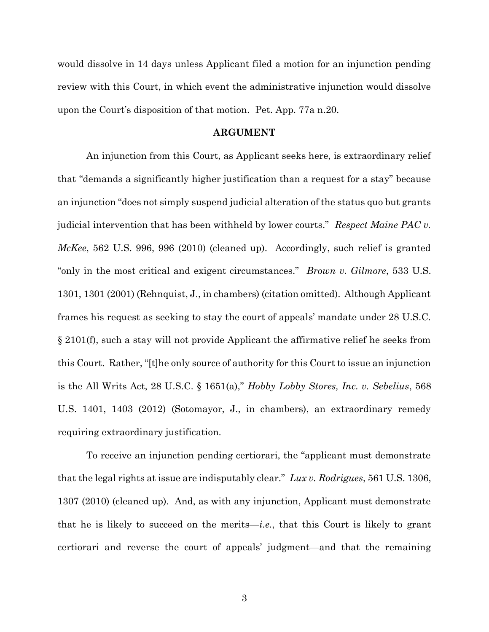<span id="page-6-0"></span> would dissolve in 14 days unless Applicant filed a motion for an injunction pending review with this Court, in which event the administrative injunction would dissolve upon the Court's disposition of that motion. Pet. App. 77a n.20.

#### ARGUMENT

 An injunction from this Court, as Applicant seeks here, is extraordinary relief that "demands a significantly higher justification than a request for a stay" because an injunction "does not simply suspend judicial alteration of the status quo but grants judicial intervention that has been withheld by lower courts." Respect Maine PAC v. McKee, 562 U.S. 996, 996 (2010) (cleaned up). Accordingly, such relief is granted "only in the most critical and exigent circumstances." Brown v. Gilmore, 533 U.S. 1301, 1301 (2001) (Rehnquist, J., in chambers) (citation omitted). Although Applicant frames his request as seeking to stay the court of appeals' mandate under 28 U.S.C. § 2101(f), such a stay will not provide Applicant the affirmative relief he seeks from this Court. Rather, "[t]he only source of authority for this Court to issue an injunction is the All Writs Act, 28 U.S.C. § 1651(a)," Hobby Lobby Stores, Inc. v. Sebelius, 568 U.S. 1401, 1403 (2012) (Sotomayor, J., in chambers), an extraordinary remedy requiring extraordinary justification.

 To receive an injunction pending certiorari, the "applicant must demonstrate that the legal rights at issue are indisputably clear."  $Lux v$ . Rodrigues, 561 U.S. 1306, 1307 (2010) (cleaned up). And, as with any injunction, Applicant must demonstrate that he is likely to succeed on the merits—*i.e.*, that this Court is likely to grant certiorari and reverse the court of appeals' judgment—and that the remaining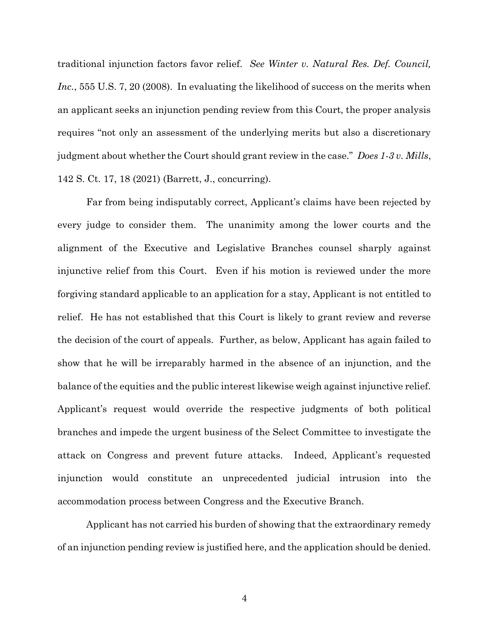<span id="page-7-0"></span>traditional injunction factors favor relief. See Winter v. Natural Res. Def. Council, Inc., 555 U.S. 7, 20 (2008). In evaluating the likelihood of success on the merits when an applicant seeks an injunction pending review from this Court, the proper analysis requires "not only an assessment of the underlying merits but also a discretionary judgment about whether the Court should grant review in the case." Does 1-3 v. Mills, 142 S. Ct. 17, 18 (2021) (Barrett, J., concurring).

 Far from being indisputably correct, Applicant's claims have been rejected by every judge to consider them. The unanimity among the lower courts and the alignment of the Executive and Legislative Branches counsel sharply against injunctive relief from this Court. Even if his motion is reviewed under the more forgiving standard applicable to an application for a stay, Applicant is not entitled to relief. He has not established that this Court is likely to grant review and reverse the decision of the court of appeals. Further, as below, Applicant has again failed to show that he will be irreparably harmed in the absence of an injunction, and the balance of the equities and the public interest likewise weigh against injunctive relief. Applicant's request would override the respective judgments of both political branches and impede the urgent business of the Select Committee to investigate the attack on Congress and prevent future attacks. Indeed, Applicant's requested injunction would constitute an unprecedented judicial intrusion into the accommodation process between Congress and the Executive Branch.

 Applicant has not carried his burden of showing that the extraordinary remedy of an injunction pending review is justified here, and the application should be denied.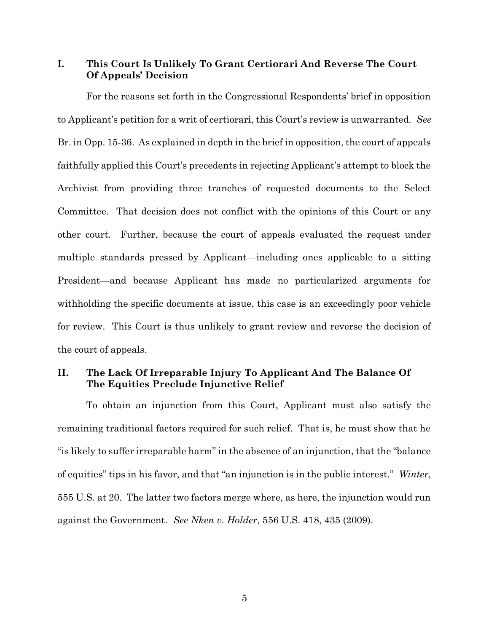### <span id="page-8-0"></span> I. This Court Is Unlikely To Grant Certiorari And Reverse The Court Of Appeals' Decision

 For the reasons set forth in the Congressional Respondents' brief in opposition to Applicant's petition for a writ of certiorari, this Court's review is unwarranted. See Br. in Opp. 15-36. As explained in depth in the brief in opposition, the court of appeals faithfully applied this Court's precedents in rejecting Applicant's attempt to block the Archivist from providing three tranches of requested documents to the Select Committee. That decision does not conflict with the opinions of this Court or any other court. Further, because the court of appeals evaluated the request under multiple standards pressed by Applicant—including ones applicable to a sitting President—and because Applicant has made no particularized arguments for withholding the specific documents at issue, this case is an exceedingly poor vehicle for review. This Court is thus unlikely to grant review and reverse the decision of the court of appeals.

### II. The Lack Of Irreparable Injury To Applicant And The Balance Of The Equities Preclude Injunctive Relief

 To obtain an injunction from this Court, Applicant must also satisfy the remaining traditional factors required for such relief. That is, he must show that he "is likely to suffer irreparable harm" in the absence of an injunction, that the "balance of equities" tips in his favor, and that "an injunction is in the public interest." Winter, 555 U.S. at 20. The latter two factors merge where, as here, the injunction would run against the Government. See Nken v. Holder, 556 U.S. 418, 435 (2009).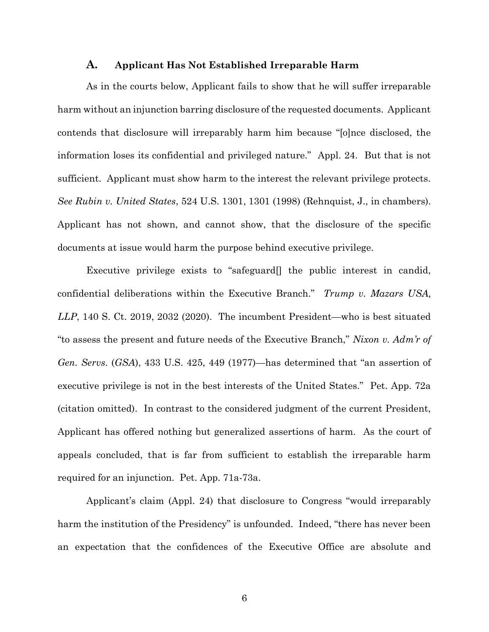## A. Applicant Has Not Established Irreparable Harm

<span id="page-9-0"></span> As in the courts below, Applicant fails to show that he will suffer irreparable harm without an injunction barring disclosure of the requested documents. Applicant contends that disclosure will irreparably harm him because "[o]nce disclosed, the information loses its confidential and privileged nature." Appl. 24. But that is not sufficient. Applicant must show harm to the interest the relevant privilege protects. See Rubin v. United States, 524 U.S. 1301, 1301 (1998) (Rehnquist, J., in chambers). Applicant has not shown, and cannot show, that the disclosure of the specific documents at issue would harm the purpose behind executive privilege.

 Executive privilege exists to "safeguard[] the public interest in candid, confidential deliberations within the Executive Branch." Trump v. Mazars USA, LLP, 140 S. Ct. 2019, 2032 (2020). The incumbent President—who is best situated "to assess the present and future needs of the Executive Branch," Nixon v. Adm'r of Gen. Servs. (GSA), 433 U.S. 425, 449 (1977)—has determined that "an assertion of executive privilege is not in the best interests of the United States." Pet. App. 72a (citation omitted). In contrast to the considered judgment of the current President, Applicant has offered nothing but generalized assertions of harm. As the court of appeals concluded, that is far from sufficient to establish the irreparable harm required for an injunction. Pet. App. 71a-73a.

 Applicant's claim (Appl. 24) that disclosure to Congress "would irreparably harm the institution of the Presidency" is unfounded. Indeed, "there has never been an expectation that the confidences of the Executive Office are absolute and

6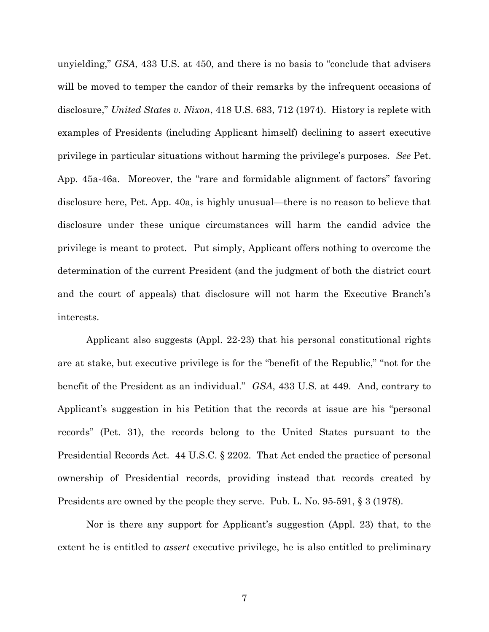<span id="page-10-0"></span> unyielding," GSA, 433 U.S. at 450, and there is no basis to "conclude that advisers will be moved to temper the candor of their remarks by the infrequent occasions of disclosure," United States v. Nixon, 418 U.S. 683, 712 (1974). History is replete with examples of Presidents (including Applicant himself) declining to assert executive privilege in particular situations without harming the privilege's purposes. See Pet. App. 45a-46a. Moreover, the "rare and formidable alignment of factors" favoring disclosure here, Pet. App. 40a, is highly unusual—there is no reason to believe that disclosure under these unique circumstances will harm the candid advice the privilege is meant to protect. Put simply, Applicant offers nothing to overcome the determination of the current President (and the judgment of both the district court and the court of appeals) that disclosure will not harm the Executive Branch's interests.

 Applicant also suggests (Appl. 22-23) that his personal constitutional rights are at stake, but executive privilege is for the "benefit of the Republic," "not for the benefit of the President as an individual." GSA, 433 U.S. at 449. And, contrary to Applicant's suggestion in his Petition that the records at issue are his "personal records" (Pet. 31), the records belong to the United States pursuant to the Presidential Records Act. 44 U.S.C. § 2202. That Act ended the practice of personal ownership of Presidential records, providing instead that records created by Presidents are owned by the people they serve. Pub. L. No. 95-591, § 3 (1978).

 Nor is there any support for Applicant's suggestion (Appl. 23) that, to the extent he is entitled to *assert* executive privilege, he is also entitled to preliminary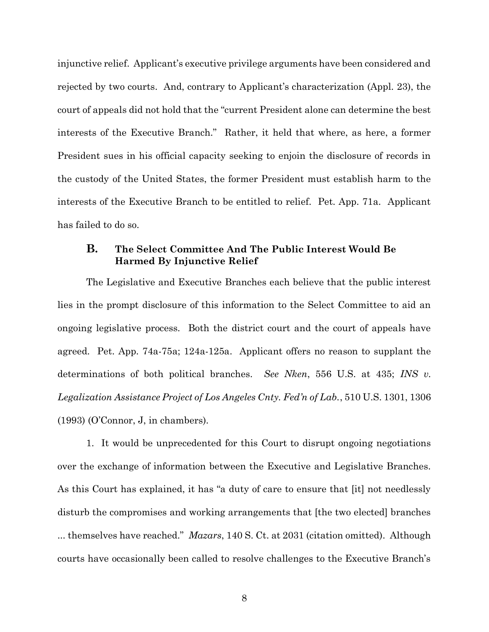<span id="page-11-0"></span> injunctive relief. Applicant's executive privilege arguments have been considered and rejected by two courts. And, contrary to Applicant's characterization (Appl. 23), the court of appeals did not hold that the "current President alone can determine the best interests of the Executive Branch." Rather, it held that where, as here, a former President sues in his official capacity seeking to enjoin the disclosure of records in the custody of the United States, the former President must establish harm to the interests of the Executive Branch to be entitled to relief. Pet. App. 71a. Applicant has failed to do so.

## B. The Select Committee And The Public Interest Would Be Harmed By Injunctive Relief

 The Legislative and Executive Branches each believe that the public interest lies in the prompt disclosure of this information to the Select Committee to aid an ongoing legislative process. Both the district court and the court of appeals have agreed. Pet. App. 74a-75a; 124a-125a. Applicant offers no reason to supplant the determinations of both political branches. See Nken, 556 U.S. at 435; INS  $v$ . Legalization Assistance Project of Los Angeles Cnty. Fed'n of Lab., 510 U.S. 1301, 1306 (1993) (O'Connor, J, in chambers).

 1. It would be unprecedented for this Court to disrupt ongoing negotiations over the exchange of information between the Executive and Legislative Branches. As this Court has explained, it has "a duty of care to ensure that [it] not needlessly disturb the compromises and working arrangements that [the two elected] branches ... themselves have reached." Mazars, 140 S. Ct. at 2031 (citation omitted). Although courts have occasionally been called to resolve challenges to the Executive Branch's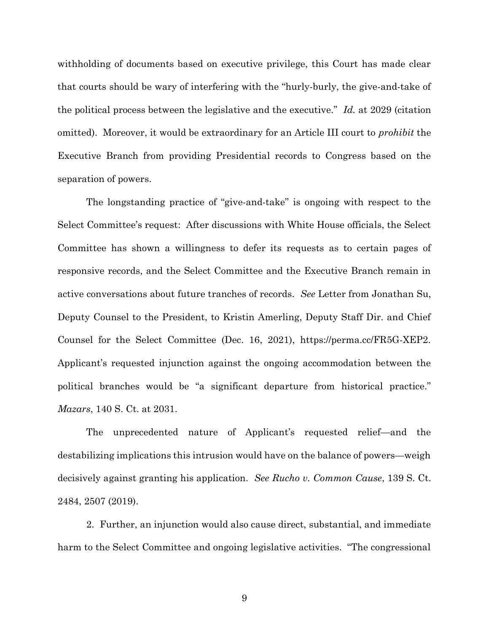<span id="page-12-0"></span> withholding of documents based on executive privilege, this Court has made clear that courts should be wary of interfering with the "hurly-burly, the give-and-take of the political process between the legislative and the executive." Id. at 2029 (citation omitted). Moreover, it would be extraordinary for an Article III court to *prohibit* the Executive Branch from providing Presidential records to Congress based on the separation of powers.

 The longstanding practice of "give-and-take" is ongoing with respect to the Select Committee's request: After discussions with White House officials, the Select Committee has shown a willingness to defer its requests as to certain pages of responsive records, and the Select Committee and the Executive Branch remain in active conversations about future tranches of records. See Letter from Jonathan Su, Deputy Counsel to the President, to Kristin Amerling, Deputy Staff Dir. and Chief Counsel for the Select Committee (Dec. 16, 2021), <https://perma.cc/FR5G-XEP2>. Applicant's requested injunction against the ongoing accommodation between the political branches would be "a significant departure from historical practice." Mazars, 140 S. Ct. at 2031.

 The unprecedented nature of Applicant's requested relief—and the destabilizing implications this intrusion would have on the balance of powers—weigh decisively against granting his application. See Rucho v. Common Cause, 139 S. Ct. 2484, 2507 (2019).

 2. Further, an injunction would also cause direct, substantial, and immediate harm to the Select Committee and ongoing legislative activities. "The congressional

9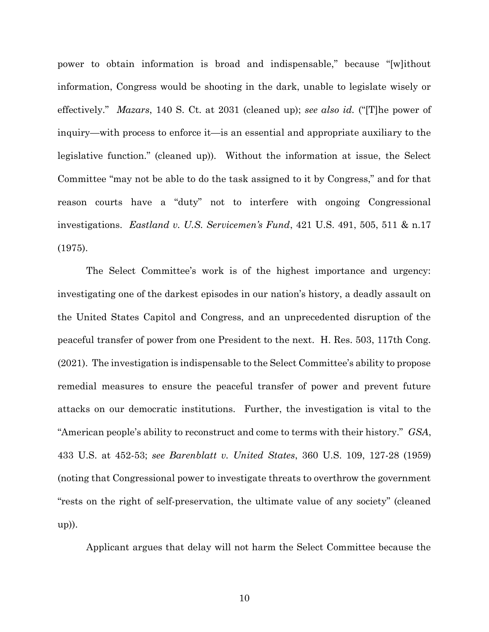<span id="page-13-0"></span> power to obtain information is broad and indispensable," because "[w]ithout information, Congress would be shooting in the dark, unable to legislate wisely or effectively." *Mazars*, 140 S. Ct. at 2031 (cleaned up); see also id. ("[T]he power of inquiry—with process to enforce it—is an essential and appropriate auxiliary to the legislative function." (cleaned up)). Without the information at issue, the Select Committee "may not be able to do the task assigned to it by Congress," and for that reason courts have a "duty" not to interfere with ongoing Congressional investigations. Eastland v. U.S. Servicemen's Fund, 421 U.S. 491, 505, 511 & n.17 (1975).

 The Select Committee's work is of the highest importance and urgency: investigating one of the darkest episodes in our nation's history, a deadly assault on the United States Capitol and Congress, and an unprecedented disruption of the peaceful transfer of power from one President to the next. H. Res. 503, 117th Cong. (2021). The investigation is indispensable to the Select Committee's ability to propose remedial measures to ensure the peaceful transfer of power and prevent future attacks on our democratic institutions. Further, the investigation is vital to the "American people's ability to reconstruct and come to terms with their history." GSA, 433 U.S. at 452-53; see Barenblatt v. United States, 360 U.S. 109, 127-28 (1959) (noting that Congressional power to investigate threats to overthrow the government "rests on the right of self-preservation, the ultimate value of any society" (cleaned up)).

Applicant argues that delay will not harm the Select Committee because the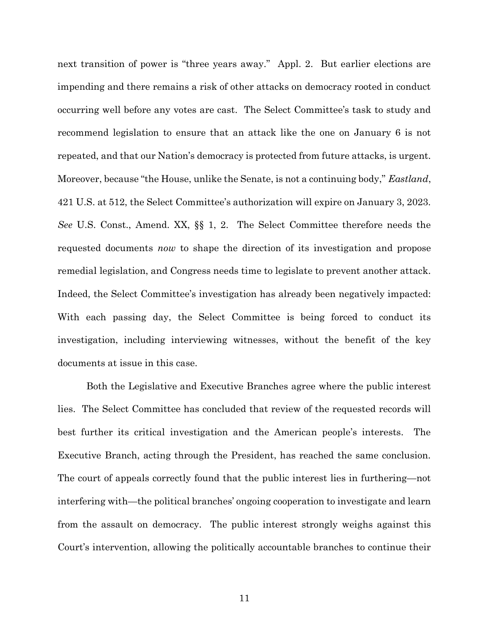<span id="page-14-0"></span> next transition of power is "three years away." Appl. 2. But earlier elections are impending and there remains a risk of other attacks on democracy rooted in conduct occurring well before any votes are cast. The Select Committee's task to study and recommend legislation to ensure that an attack like the one on January 6 is not repeated, and that our Nation's democracy is protected from future attacks, is urgent. Moreover, because "the House, unlike the Senate, is not a continuing body," *Eastland*, 421 U.S. at 512, the Select Committee's authorization will expire on January 3, 2023. See U.S. Const., Amend. XX, §§ 1, 2. The Select Committee therefore needs the requested documents now to shape the direction of its investigation and propose remedial legislation, and Congress needs time to legislate to prevent another attack. Indeed, the Select Committee's investigation has already been negatively impacted: With each passing day, the Select Committee is being forced to conduct its investigation, including interviewing witnesses, without the benefit of the key documents at issue in this case.

 Both the Legislative and Executive Branches agree where the public interest lies. The Select Committee has concluded that review of the requested records will best further its critical investigation and the American people's interests. The Executive Branch, acting through the President, has reached the same conclusion. The court of appeals correctly found that the public interest lies in furthering—not interfering with—the political branches' ongoing cooperation to investigate and learn from the assault on democracy. The public interest strongly weighs against this Court's intervention, allowing the politically accountable branches to continue their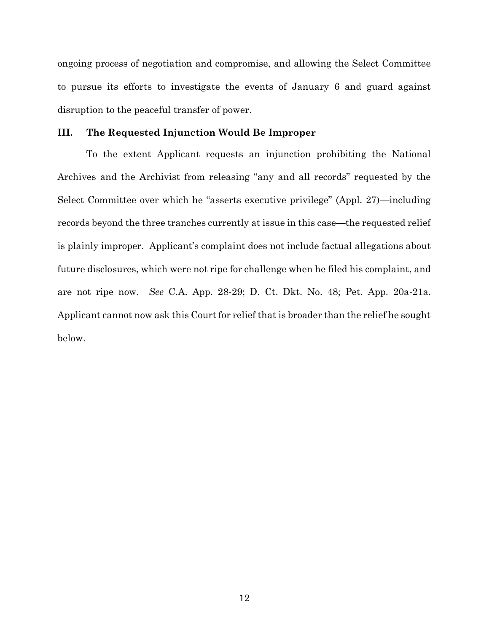<span id="page-15-0"></span> ongoing process of negotiation and compromise, and allowing the Select Committee to pursue its efforts to investigate the events of January 6 and guard against disruption to the peaceful transfer of power.

#### III. The Requested Injunction Would Be Improper

 To the extent Applicant requests an injunction prohibiting the National Archives and the Archivist from releasing "any and all records" requested by the Select Committee over which he "asserts executive privilege" (Appl. 27)—including records beyond the three tranches currently at issue in this case—the requested relief is plainly improper. Applicant's complaint does not include factual allegations about future disclosures, which were not ripe for challenge when he filed his complaint, and are not ripe now. See C.A. App. 28-29; D. Ct. Dkt. No. 48; Pet. App. 20a-21a. Applicant cannot now ask this Court for relief that is broader than the relief he sought below.